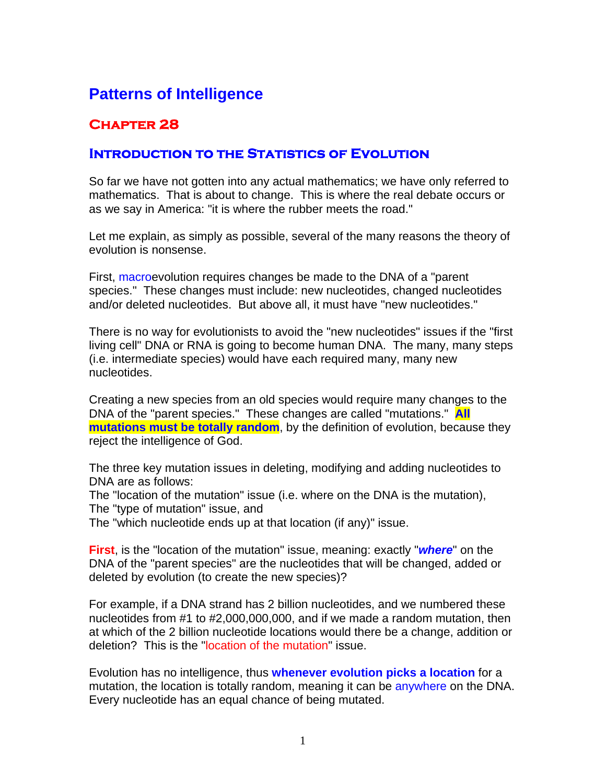# **Patterns of Intelligence**

# **Chapter 28**

## **INTRODUCTION TO THE STATISTICS OF EVOLUTION**

So far we have not gotten into any actual mathematics; we have only referred to mathematics. That is about to change. This is where the real debate occurs or as we say in America: "it is where the rubber meets the road."

Let me explain, as simply as possible, several of the many reasons the theory of evolution is nonsense.

First, macroevolution requires changes be made to the DNA of a "parent" species." These changes must include: new nucleotides, changed nucleotides and/or deleted nucleotides. But above all, it must have "new nucleotides."

There is no way for evolutionists to avoid the "new nucleotides" issues if the "first living cell" DNA or RNA is going to become human DNA. The many, many steps (i.e. intermediate species) would have each required many, many new nucleotides.

Creating a new species from an old species would require many changes to the DNA of the "parent species." These changes are called "mutations." **All mutations must be totally random**, by the definition of evolution, because they reject the intelligence of God.

The three key mutation issues in deleting, modifying and adding nucleotides to DNA are as follows:

The "location of the mutation" issue (i.e. where on the DNA is the mutation),

The "type of mutation" issue, and

The "which nucleotide ends up at that location (if any)" issue.

**First**, is the "location of the mutation" issue, meaning: exactly "*where*" on the DNA of the "parent species" are the nucleotides that will be changed, added or deleted by evolution (to create the new species)?

For example, if a DNA strand has 2 billion nucleotides, and we numbered these nucleotides from #1 to #2,000,000,000, and if we made a random mutation, then at which of the 2 billion nucleotide locations would there be a change, addition or deletion? This is the "location of the mutation" issue.

Evolution has no intelligence, thus **whenever evolution picks a location** for a mutation, the location is totally random, meaning it can be anywhere on the DNA. Every nucleotide has an equal chance of being mutated.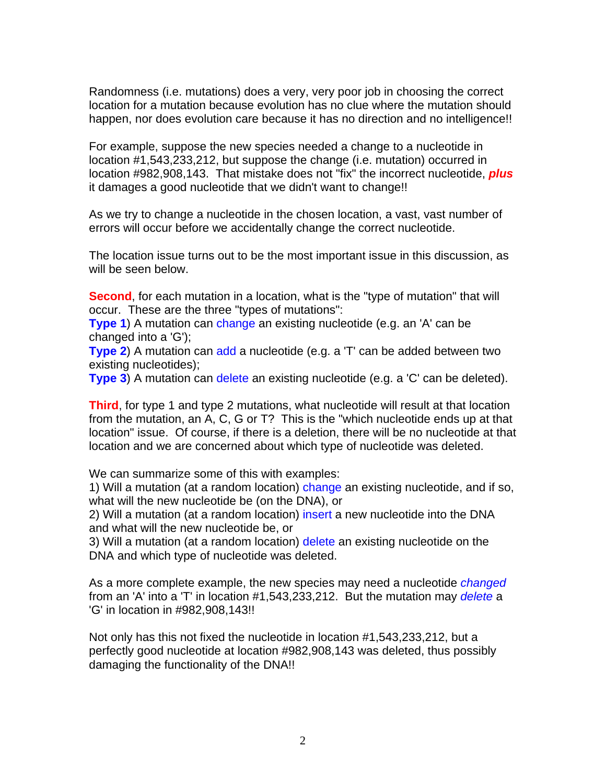Randomness (i.e. mutations) does a very, very poor job in choosing the correct location for a mutation because evolution has no clue where the mutation should happen, nor does evolution care because it has no direction and no intelligence!!

For example, suppose the new species needed a change to a nucleotide in location #1,543,233,212, but suppose the change (i.e. mutation) occurred in location #982,908,143. That mistake does not "fix" the incorrect nucleotide, *plus* it damages a good nucleotide that we didn't want to change!!

As we try to change a nucleotide in the chosen location, a vast, vast number of errors will occur before we accidentally change the correct nucleotide.

The location issue turns out to be the most important issue in this discussion, as will be seen below.

**Second**, for each mutation in a location, what is the "type of mutation" that will occur. These are the three "types of mutations":

**Type 1)** A mutation can change an existing nucleotide (e.g. an 'A' can be changed into a 'G');

**Type 2)** A mutation can add a nucleotide (e.g. a 'T' can be added between two existing nucleotides);

**Type 3**) A mutation can delete an existing nucleotide (e.g. a 'C' can be deleted).

**Third**, for type 1 and type 2 mutations, what nucleotide will result at that location from the mutation, an A, C, G or T? This is the "which nucleotide ends up at that location" issue. Of course, if there is a deletion, there will be no nucleotide at that location and we are concerned about which type of nucleotide was deleted.

We can summarize some of this with examples:

1) Will a mutation (at a random location) change an existing nucleotide, and if so, what will the new nucleotide be (on the DNA), or

2) Will a mutation (at a random location) insert a new nucleotide into the DNA and what will the new nucleotide be, or

3) Will a mutation (at a random location) delete an existing nucleotide on the DNA and which type of nucleotide was deleted.

As a more complete example, the new species may need a nucleotide *changed* from an 'A' into a 'T' in location #1,543,233,212. But the mutation may *delete* a 'G' in location in #982,908,143!!

Not only has this not fixed the nucleotide in location #1,543,233,212, but a perfectly good nucleotide at location #982,908,143 was deleted, thus possibly damaging the functionality of the DNA!!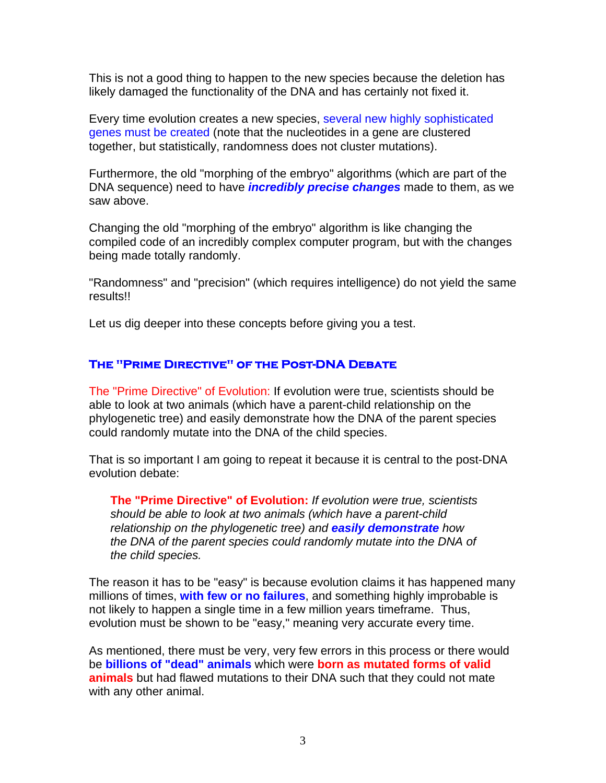This is not a good thing to happen to the new species because the deletion has likely damaged the functionality of the DNA and has certainly not fixed it.

Every time evolution creates a new species, several new highly sophisticated genes must be created (note that the nucleotides in a gene are clustered together, but statistically, randomness does not cluster mutations).

Furthermore, the old "morphing of the embryo" algorithms (which are part of the DNA sequence) need to have *incredibly precise changes* made to them, as we saw above.

Changing the old "morphing of the embryo" algorithm is like changing the compiled code of an incredibly complex computer program, but with the changes being made totally randomly.

"Randomness" and "precision" (which requires intelligence) do not yield the same results!!

Let us dig deeper into these concepts before giving you a test.

#### **The "Prime Directive" of the Post-DNA Debate**

The "Prime Directive" of Evolution: If evolution were true, scientists should be able to look at two animals (which have a parent-child relationship on the phylogenetic tree) and easily demonstrate how the DNA of the parent species could randomly mutate into the DNA of the child species.

That is so important I am going to repeat it because it is central to the post-DNA evolution debate:

**The "Prime Directive" of Evolution:** *If evolution were true, scientists should be able to look at two animals (which have a parent-child relationship on the phylogenetic tree) and easily demonstrate how the DNA of the parent species could randomly mutate into the DNA of the child species.* 

The reason it has to be "easy" is because evolution claims it has happened many millions of times, **with few or no failures**, and something highly improbable is not likely to happen a single time in a few million years timeframe. Thus, evolution must be shown to be "easy," meaning very accurate every time.

As mentioned, there must be very, very few errors in this process or there would be **billions of "dead" animals** which were **born as mutated forms of valid animals** but had flawed mutations to their DNA such that they could not mate with any other animal.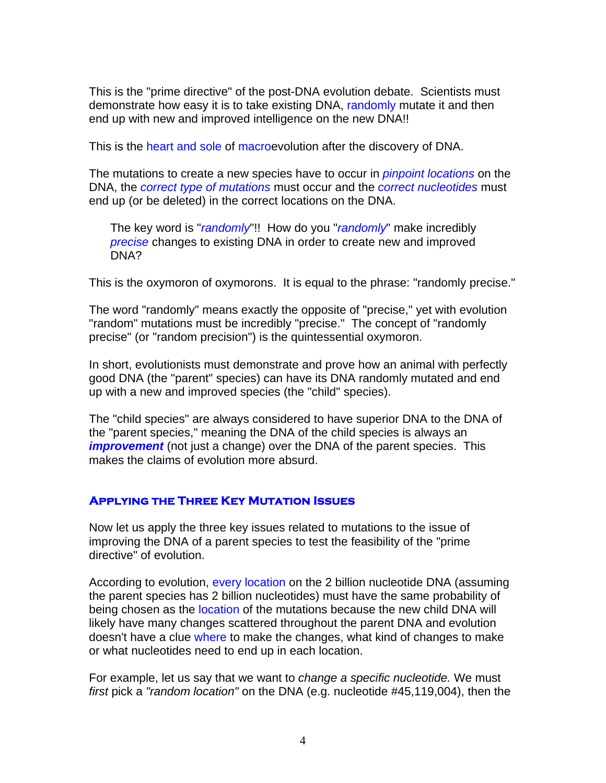This is the "prime directive" of the post-DNA evolution debate. Scientists must demonstrate how easy it is to take existing DNA, randomly mutate it and then end up with new and improved intelligence on the new DNA!!

This is the heart and sole of macroevolution after the discovery of DNA.

The mutations to create a new species have to occur in *pinpoint locations* on the DNA, the *correct type of mutations* must occur and the *correct nucleotides* must end up (or be deleted) in the correct locations on the DNA.

The key word is "*randomly*"!! How do you "*randomly*" make incredibly *precise* changes to existing DNA in order to create new and improved DNA?

This is the oxymoron of oxymorons. It is equal to the phrase: "randomly precise."

The word "randomly" means exactly the opposite of "precise," yet with evolution "random" mutations must be incredibly "precise." The concept of "randomly precise" (or "random precision") is the quintessential oxymoron.

In short, evolutionists must demonstrate and prove how an animal with perfectly good DNA (the "parent" species) can have its DNA randomly mutated and end up with a new and improved species (the "child" species).

The "child species" are always considered to have superior DNA to the DNA of the "parent species," meaning the DNA of the child species is always an *improvement* (not just a change) over the DNA of the parent species. This makes the claims of evolution more absurd.

### **Applying the Three Key Mutation Issues**

Now let us apply the three key issues related to mutations to the issue of improving the DNA of a parent species to test the feasibility of the "prime directive" of evolution.

According to evolution, every location on the 2 billion nucleotide DNA (assuming the parent species has 2 billion nucleotides) must have the same probability of being chosen as the location of the mutations because the new child DNA will likely have many changes scattered throughout the parent DNA and evolution doesn't have a clue where to make the changes, what kind of changes to make or what nucleotides need to end up in each location.

For example, let us say that we want to *change a specific nucleotide.* We must *first* pick a *"random location"* on the DNA (e.g. nucleotide #45,119,004), then the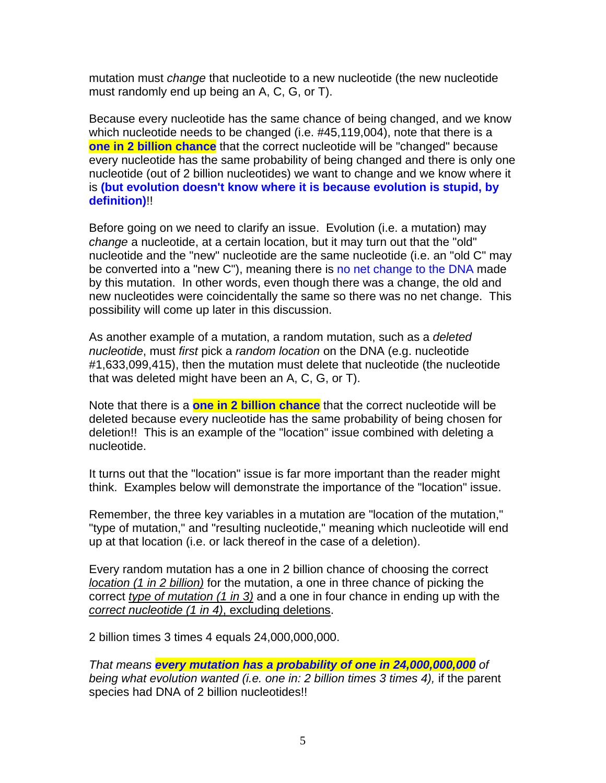mutation must *change* that nucleotide to a new nucleotide (the new nucleotide must randomly end up being an A, C, G, or T).

Because every nucleotide has the same chance of being changed, and we know which nucleotide needs to be changed (i.e. #45,119,004), note that there is a **one in 2 billion chance** that the correct nucleotide will be "changed" because every nucleotide has the same probability of being changed and there is only one nucleotide (out of 2 billion nucleotides) we want to change and we know where it is **(but evolution doesn't know where it is because evolution is stupid, by definition)**!!

Before going on we need to clarify an issue. Evolution (i.e. a mutation) may *change* a nucleotide, at a certain location, but it may turn out that the "old" nucleotide and the "new" nucleotide are the same nucleotide (i.e. an "old C" may be converted into a "new C"), meaning there is no net change to the DNA made by this mutation. In other words, even though there was a change, the old and new nucleotides were coincidentally the same so there was no net change. This possibility will come up later in this discussion.

As another example of a mutation, a random mutation, such as a *deleted nucleotide*, must *first* pick a *random location* on the DNA (e.g. nucleotide #1,633,099,415), then the mutation must delete that nucleotide (the nucleotide that was deleted might have been an A, C, G, or T).

Note that there is a **one in 2 billion chance** that the correct nucleotide will be deleted because every nucleotide has the same probability of being chosen for deletion!! This is an example of the "location" issue combined with deleting a nucleotide.

It turns out that the "location" issue is far more important than the reader might think. Examples below will demonstrate the importance of the "location" issue.

Remember, the three key variables in a mutation are "location of the mutation," "type of mutation," and "resulting nucleotide," meaning which nucleotide will end up at that location (i.e. or lack thereof in the case of a deletion).

Every random mutation has a one in 2 billion chance of choosing the correct *location (1 in 2 billion)* for the mutation, a one in three chance of picking the correct *type of mutation (1 in 3)* and a one in four chance in ending up with the *correct nucleotide (1 in 4)*, excluding deletions.

2 billion times 3 times 4 equals 24,000,000,000.

*That means every mutation has a probability of one in 24,000,000,000 of being what evolution wanted (i.e. one in: 2 billion times 3 times 4),* if the parent species had DNA of 2 billion nucleotides!!